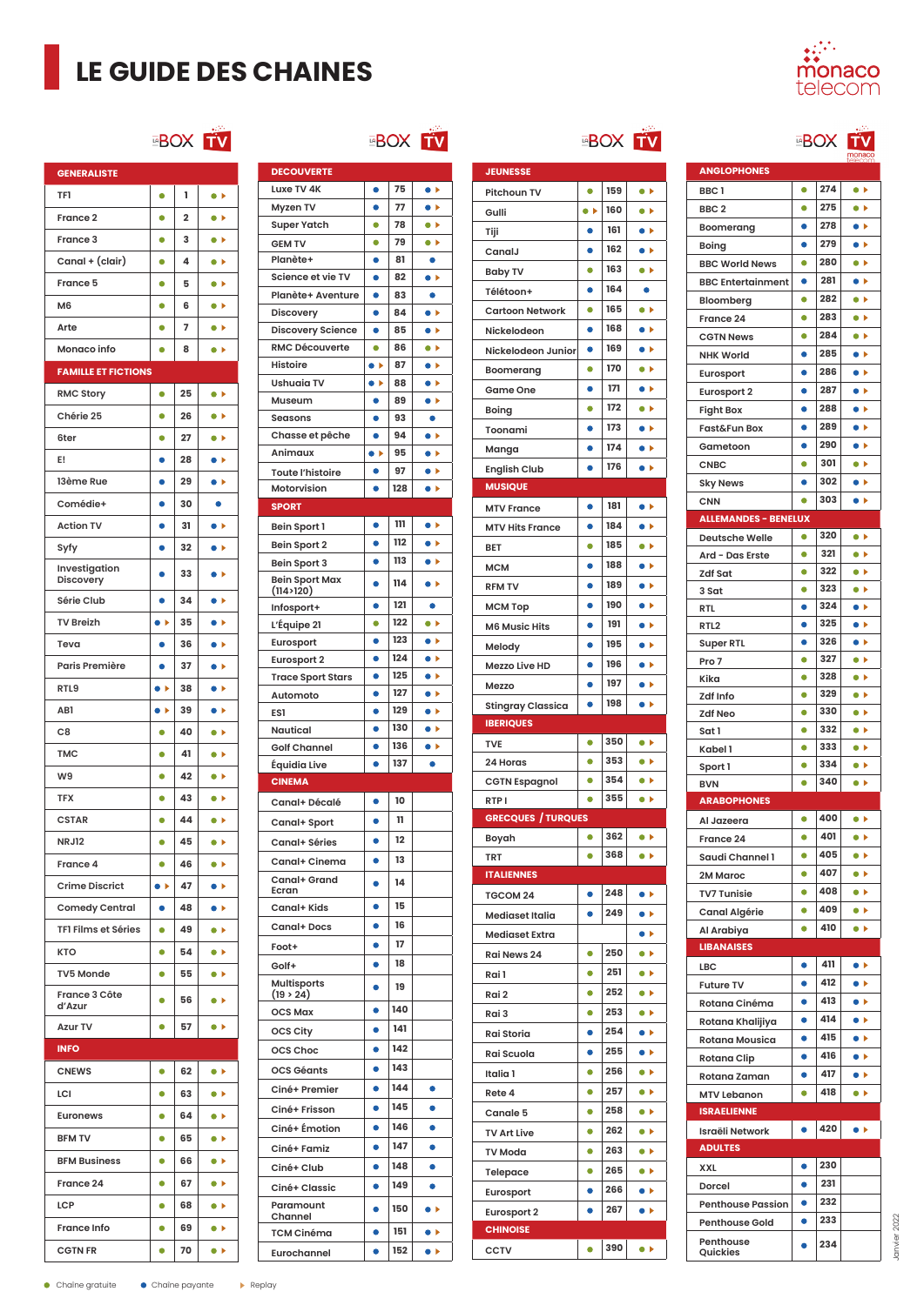# **LE GUIDE DES CHAINES**



#### **EBOX** TV

| <b>GENERALISTE</b>         |                   |                |                                |
|----------------------------|-------------------|----------------|--------------------------------|
| <b>TF1</b>                 | ۰                 | 1              | $\bullet$                      |
| France <sub>2</sub>        | ۰                 | $\overline{2}$ | $\bullet\blacktriangleright$   |
| France 3                   | 0                 | 3              | $\bullet\ \bullet$             |
| Canal + (clair)            | 0                 | 4              | $\bullet$                      |
| France 5                   | 0                 | 5              | $\bullet\ \vdash$              |
| M <sub>6</sub>             | $\bullet$         | 6              | $\bullet\ \bullet$             |
| Arte                       | ۰                 | 7              | $\bullet\;\varepsilon$         |
| Monaco info                | ۰                 | 8              | $\bullet\ \bullet$             |
| <b>FAMILLE ET FICTIONS</b> |                   |                |                                |
| <b>RMC Story</b>           | $\bullet$         | 25             | $\bullet\ \blacktriangleright$ |
| Chérie 25                  | ۰                 | 26             | $\bullet\ \blacktriangleright$ |
| 6ter                       | 0                 | 27             | $\bullet\ \bullet$             |
| E!                         | 0                 | 28             | $\bullet\ \vdash$              |
| 13ème Rue                  | $\bullet$         | 29             | $\bullet\ \bullet$             |
| Comédie+                   | ۰                 | 30             | $\bullet$                      |
| <b>Action TV</b>           | 0                 | 31             | $\blacktriangleright$          |
| Syfy                       | $\bullet$         | 32             | $\bullet\ \bullet$             |
| Investigation<br>Discovery | ۰                 | 33             | $\bullet\ \vdash$              |
| Série Club                 | 0                 | 34             | ×<br>0                         |
| <b>TV Breizh</b>           | $\bullet$         | 35             | $\bullet\ \vdash$              |
| Teva                       | O                 | 36             | $\bullet\ \bullet$             |
| Paris Première             | O                 | 37             | $\bullet$<br>Þ                 |
| RTL9                       | $\bullet$         | 38             | $\bullet$                      |
| AB1                        | $\bullet\ \flat$  | 39             | Þ                              |
| C <sub>8</sub>             | 0                 | 40             | $\bullet\blacktriangleright$   |
| <b>TMC</b>                 | 0                 | 41             | $\bullet\ \bullet$             |
| W9                         | $\bullet$         | 42             | $\bullet\blacktriangleright$   |
| <b>TFX</b>                 | ۰                 | 43             | $\bullet\ \bullet$             |
| <b>CSTAR</b>               | ۰                 | 44             | $\bullet\ \bullet$             |
| <b>NRJ12</b>               | 0                 | 45             | $\bullet\ \blacktriangleright$ |
| France 4                   |                   | 46             | Ψ                              |
| <b>Crime Discrict</b>      | $\bullet\ \vdash$ | 47             | $\bullet\blacktriangleright$   |
| <b>Comedy Central</b>      | ۰                 | 48             | $\bullet\ \bullet$             |
| <b>TFI Films et Séries</b> | ۰                 | 49             | $\bullet$                      |
| KTO                        | 0                 | 54             | $\bullet\blacktriangleright$   |
| <b>TV5 Monde</b>           | 0                 | 55             | $\bullet\ \bullet$             |
| France 3 Côte<br>d'Azur    | 0                 | 56             | $\bullet\ \blacktriangleright$ |
| <b>Azur TV</b>             | ۰                 | 57             | $\bullet\blacktriangleright$   |
| <b>INFO</b>                |                   |                |                                |
| <b>CNEWS</b>               | ۰                 | 62             | $\bullet$                      |
| LCI                        | 0                 | 63             | $\bullet\ \bullet$             |
| <b>Euronews</b>            | ٠                 | 64             | $\bullet\blacktriangleright$   |
| <b>BFM TV</b>              | 0                 | 65             | $\bullet\ \blacktriangleright$ |
| <b>BFM Business</b>        | ۰                 | 66             | $\bullet\ \blacktriangleright$ |
| France 24                  | 0                 | 67             | $\bullet\blacktriangleright$   |
| <b>LCP</b>                 | $\bullet$         | 68             | $\bullet\blacktriangleright$   |
|                            |                   |                |                                |
| France Info                | ٠                 | 69             | $\bullet\blacktriangleright$   |
| <b>CGTN FR</b>             | 0                 | 70             | $\bullet\ \vdash$              |

#### **EBOX TV**

| <b>DECOUVERTE</b>                     |                   |            |                              |
|---------------------------------------|-------------------|------------|------------------------------|
| Luxe TV 4K                            | $\bullet$         | 75         | $\bullet\ \vdash$            |
| Myzen TV                              | O                 | 77         | Þ<br>$\bullet$               |
| <b>Super Yatch</b>                    | ۰                 | 78         | $\bullet$                    |
| <b>GEM TV</b>                         | 0                 | 79         | $\bullet\ \bullet$           |
| Planète+                              | $\bullet$         | 81         | $\bullet$                    |
| Science et vie TV                     | ٠                 | 82         | $\bullet\;\varepsilon$       |
| Planète+ Aventure                     | ٠                 | 83         | ٠                            |
| Discovery                             | ٠                 | 84         | $\bullet\ \flat$             |
| <b>Discovery Science</b>              | $\bullet$         | 85         | $\bullet$                    |
| <b>RMC Découverte</b>                 | ٠                 | 86         | $\bullet\ \bullet$           |
| <b>Histoire</b>                       | $\bullet$         | 87         | $\bullet\ \bullet$           |
| <b>Ushuaia TV</b>                     | $\bullet\ \vdash$ | 88         | $\bullet\ \vdash$            |
| Museum                                | ٠                 | 89         | $\bullet\blacktriangleright$ |
| <b>Seasons</b>                        | ٠                 | 93         | ٠                            |
| Chasse et pêche                       | ۰                 | 94         | $\bullet\ \bullet$           |
| Animaux                               | $\bullet$         | 95         | $\bullet\ \vdash$            |
| <b>Toute l'histoire</b>               | 0                 | 97         | $\bullet\ \vdash$            |
| Motorvision                           | $\bullet$         | 128        | $\bullet\ \bullet$           |
| <b>SPORT</b>                          |                   |            |                              |
| Bein Sport 1                          | $\bullet$         | 111        | $\bullet\ \vdash$            |
| Bein Sport 2                          | ۰                 | 112        | $\bullet\ \bullet$           |
| Bein Sport 3                          | 0                 | 113        | $\bullet\ \vdash$            |
| <b>Bein Sport Max</b>                 | ò                 | 114        | $\bullet$                    |
| (114>120)                             |                   |            |                              |
| Infosport+                            | ۰                 | 121        |                              |
| L'Équipe 21                           | ۰                 | 122        | $\bullet\ \bullet$           |
| Eurosport                             | ٠                 | 123<br>124 | $\bullet\ \vdash$            |
| <b>Eurosport 2</b>                    | $\bullet$         | 125        | $\bullet\ \vdash$            |
| <b>Trace Sport Stars</b>              | ۰                 | 127        | $\bullet$                    |
| Automoto                              | ٠                 |            | $\bullet\;$                  |
|                                       |                   |            |                              |
| ES1                                   | ٠                 | 129        | $\bullet\ \bullet$           |
| Nautical                              | ٠                 | 130        | $\bullet\ \bullet$           |
| <b>Golf Channel</b>                   | 0                 | 136        | $\bullet\ \vdash$            |
| Équidia Live                          | ٠                 | 137        | ٠                            |
| <b>CINEMA</b>                         |                   |            |                              |
| Canal+ Décalé                         |                   | 10         |                              |
| Canal+ Sport                          | 0                 | 11         |                              |
| Canal+ Séries                         | ۰                 | 12         |                              |
| Canal+ Cinema                         |                   | 13         |                              |
| Canal+ Grand                          | ō                 | 14         |                              |
| Ecran                                 | 0                 | 15         |                              |
| Canal+ Kids                           | $\bullet$         | 16         |                              |
| Canal+Docs                            |                   | 17         |                              |
| Foot+                                 |                   |            |                              |
| Golf+                                 |                   | 18         |                              |
| <b>Multisports</b><br>$(19 \t{> 24})$ |                   | 19         |                              |
| <b>OCS Max</b>                        | ٠                 | 140        |                              |
| OCS City                              | ٠                 | 141        |                              |
| OCS Choc                              | ۰                 | 142        |                              |
| <b>OCS Géants</b>                     |                   | 143        |                              |
| Ciné+ Premier                         | $\bullet$         | 144        | $\bullet$                    |
|                                       |                   | 145        |                              |
| Ciné+ Frisson                         |                   | 146        |                              |
| Ciné+ Émotion                         | ٠                 |            | $\bullet$                    |
| Ciné+ Famiz                           | 0                 | 147        | 0                            |
| Ciné+ Club                            | ۰                 | 148        |                              |
| Ciné+ Classic                         | $\bullet$         | 149        | $\bullet$                    |
| Paramount<br>Channel                  | $\bullet$         | 150        | $\bullet\ \vdash$            |
| <b>TCM Cinéma</b>                     | O                 | 151        | $\bullet\ \bullet$           |

|                                               |                |            | <b>EBOX</b>                              |
|-----------------------------------------------|----------------|------------|------------------------------------------|
| <b>JEUNESSE</b>                               |                |            |                                          |
| Pitchoun TV                                   | $\bullet$      | 159        | $\bullet$                                |
| Gulli                                         | $\bullet$      | 160        | $\bullet$                                |
| Tiji                                          | ٠              | 161        | $\bullet\ \bullet$                       |
| CanalJ                                        | ۰              | 162        | $\bullet\;\varepsilon$                   |
| <b>Baby TV</b>                                | ٠              | 163        | $\bullet\ \bullet$                       |
| Télétoon+                                     | 0              | 164        | ٠                                        |
| <b>Cartoon Network</b>                        | 0              | 165        | $\bullet\ \vdash$                        |
| Nickelodeon                                   | 0              | 168        | $\bullet\ \vdash$                        |
| Nickelodeon Junior                            | ۰              | 169        | $\bullet\ \bullet$                       |
| Boomerang                                     | $\bullet$      | 170        | $\bullet$                                |
| Game One                                      | ٠              | 171        | $\bullet\ \bullet$                       |
| Boing                                         | $\bullet$      | 172        | $\bullet\ \bullet$                       |
| Toonami                                       | $\bullet$      | 173        | $\bullet\ \vdash$                        |
| Manga                                         | 0              | 174        | Þ                                        |
| <b>English Club</b>                           | $\bullet$      | 176        | $\bullet\ \vdash$                        |
| <b>MUSIQUE</b>                                |                |            |                                          |
| <b>MTV France</b>                             | ۰              | 181        | $\bullet$                                |
| <b>MTV Hits France</b>                        | ŏ              | 184        | $\bullet$                                |
| <b>BET</b>                                    | $\bullet$      | 185        | $\bullet\ \bullet$                       |
| <b>MCM</b>                                    | ۰              | 188        | $\bullet$                                |
| <b>RFM TV</b>                                 | ۰              | 189        | $\bullet\ \bullet$                       |
| МСМ Тор                                       | ŏ              | 190        | $\bullet\;\varepsilon$                   |
| <b>M6 Music Hits</b>                          | 0              | 191        | $\bullet\ \vdash$                        |
| Melody                                        | ۰              | 195        | $\bullet\ \bullet$                       |
| Mezzo Live HD                                 | $\bullet$      | 196        | $\bullet\ \bullet$                       |
| Mezzo                                         | $\bullet$      | 197        | $\bullet$                                |
| <b>Stingray Classica</b>                      | $\bullet$      | 198        | $\bullet\ \bullet$                       |
| <b>IBERIQUES</b>                              |                |            |                                          |
| <b>TVE</b>                                    | ۰              | 350        | $\bullet\ \bullet$                       |
| 24 Horas                                      | $\bullet$      | 353<br>354 | $\bullet$                                |
| <b>CGTN Espagnol</b>                          | ٠<br>$\bullet$ | 355        | $\bullet\ \bullet$<br>$\bullet\ \bullet$ |
| RTP <sub>I</sub><br><b>GRECQUES / TURQUES</b> |                |            |                                          |
| Boyah                                         | $\bullet$      | 362        | $\bullet\blacktriangleright$             |
| <b>TRT</b>                                    | ۰              | 368        | $\bullet\blacktriangleright$             |
| <b>ITALIENNES</b>                             |                |            |                                          |
| TGCOM 24                                      | ٠              | 248        | $\bullet\ \vdash$                        |
| <b>Mediaset Italia</b>                        | 0              | 249        | $\bullet\ \bullet$                       |
| <b>Mediaset Extra</b>                         |                |            | Þ<br>$\bullet$                           |
| <b>Rai News 24</b>                            | ۰              | 250        | $\bullet\blacktriangleright$             |
| Rai 1                                         | $\bullet$      | 251        | $\bullet\blacktriangleright$             |
| Rai 2                                         | ۰              | 252        | $\bullet\ \bullet$                       |
| Rai 3                                         | ۰              | 253        | $\bullet\ \bullet$                       |
| Rai Storia                                    | ٠              | 254        | $\bullet\ \bullet$                       |
| Rai Scuola                                    | 0              | 255        | Þ<br>$\bullet$                           |
| Italia 1                                      | ٠              | 256        | $\bullet\ \vdash$                        |
| Rete 4                                        | ٠              | 257        | $\bullet\ \bullet$                       |
| Canale 5                                      | 0              | 258        | $\bullet\blacktriangleright$             |
| <b>TV Art Live</b>                            | ٠              | 262        | $\bullet\blacktriangleright$             |
| <b>TV Moda</b>                                | 0              | 263        | $\bullet\ \bullet$                       |
| Telepace                                      | $\bullet$      | 265        | $\bullet\blacktriangleright$             |
| Eurosport                                     | 0              | 266        | Þ                                        |
| <b>Eurosport 2</b>                            |                | 267        | $\blacktriangleright$                    |
| <b>CHINOISE</b>                               |                |            |                                          |
| <b>CCTV</b>                                   | $\bullet$      | 390        | $\bullet$                                |

|                                           |                | <b>BOX</b> | έģν.<br>monaco                 |
|-------------------------------------------|----------------|------------|--------------------------------|
| <b>ANGLOPHONES</b>                        |                |            |                                |
| BBC1                                      | $\bullet$      | 274        | $\bullet\ \blacktriangleright$ |
| BBC <sub>2</sub>                          | ۰              | 275        | $\bullet$                      |
| Boomerang                                 | ٠              | 278        | $\bullet$                      |
| <b>Boing</b>                              | ō              | 279        | $\bullet$                      |
| <b>BBC World News</b>                     | $\bullet$      | 280        | $\bullet$                      |
| <b>BBC Entertainment</b>                  | ٠              | 281        | $\bullet\ \bullet$             |
| Bloomberg                                 | $\bullet$      | 282        | $\bullet$                      |
| France 24                                 | ٠              | 283        | $\bullet$                      |
| <b>CGTN News</b>                          | 0              | 284        | $\bullet\ \blacktriangleright$ |
| <b>NHK World</b>                          | ۰              | 285        | $\bullet$                      |
| Eurosport                                 | ٠              | 286        | $\bullet$                      |
| <b>Eurosport 2</b>                        | 0              | 287        | $\bullet\ \vdash$              |
| <b>Fight Box</b>                          | ۰              | 288        | $\bullet\ \bullet$             |
| Fast&Fun Box                              | ٠              | 289        | $\bullet\ \bullet$             |
| Gametoon                                  | ٠              | 290        | $\bullet\ \bullet$             |
| <b>CNBC</b>                               | 0              | 301        | $\bullet\ \bullet$             |
| <b>Sky News</b>                           | ۰              | 302        | $\bullet\ \bullet$             |
|                                           | $\bullet$      | 303        | $\bullet\ \vdash$              |
| <b>CNN</b><br><b>ALLEMANDES - BENELUX</b> |                |            |                                |
|                                           | ۰              | 320        | $\bullet\ \bullet$             |
| <b>Deutsche Welle</b>                     |                | 321        |                                |
| Ard - Das Erste                           | ۰<br>$\bullet$ | 322        | $\bullet$                      |
| <b>Zdf Sat</b>                            |                |            | $\bullet$                      |
| 3 Sat                                     | 0              | 323<br>324 | $\bullet\ \blacktriangleright$ |
| <b>RTL</b>                                | ٠              |            | $\bullet$                      |
| RTL <sub>2</sub>                          | ٠              | 325        | $\bullet\ \bullet$             |
| <b>Super RTL</b>                          | ٠              | 326        | $\bullet\ \vdash$              |
| Pro 7                                     | $\bullet$      | 327        | $\bullet\ \bullet$             |
| Kika                                      | 0              | 328        | $\bullet$                      |
| Zdf Info                                  | ٠              | 329        | $\bullet\ \bullet$             |
| <b>Zdf Neo</b>                            | ۰              | 330        | $\bullet\ \bullet$             |
| Sat 1                                     | $\bullet$      | 332        | $\bullet\ \blacktriangleright$ |
| Kabel 1                                   | 0              | 333        | $\bullet\ \bullet$             |
| Sport 1                                   | ۰              | 334        | $\bullet\ \bullet$             |
| <b>BVN</b>                                | $\bullet$      | 340        | $\bullet\ \bullet$             |
| <b>ARABOPHONES</b>                        |                |            |                                |
| Al Jazeera                                |                | 400        | ⋗                              |
| France 24                                 | ۰              | 401        | $\bullet\blacktriangleright$   |
| Saudi Channel 1                           | 0              | 405        | $\bullet$                      |
| 2M Maroc                                  | ٠              | 407        | $\bullet\ \bullet$             |
| <b>TV7 Tunisie</b>                        | $\bullet$      | 408        | $\bullet\ \vdash$              |
| <b>Canal Algérie</b>                      | 0              | 409        | $\bullet\ \bullet$             |
| Al Arabiya                                | $\bullet$      | 410        | $\bullet\ \bullet$             |
| <b>LIBANAISES</b>                         |                |            |                                |
| LBC                                       | $\bullet$      | 411        | $\bullet\ \vdash$              |
| <b>Future TV</b>                          | 0              | 412        | $\bullet\ \vdash$              |
| Rotana Cinéma                             | ۰              | 413        | $\bullet$                      |
| Rotana Khalijiya                          |                | 414        | $\bullet\ \bullet$             |
| Rotana Mousica                            | ٠              | 415        | $\bullet\ \bullet$             |
| Rotana Clip                               | 0              | 416        | $\bullet\ \vdash$              |
| Rotana Zaman                              | ٠              | 417        | $\bullet\ \vdash$              |
| <b>MTV Lebanon</b>                        | 0              | 418        | $\bullet\ \blacktriangleright$ |
| <b>ISRAELIENNE</b>                        |                |            |                                |
| <b>Israëli Network</b>                    | $\bullet$      | 420        | $\bullet$                      |
| <b>ADULTES</b>                            |                |            |                                |
|                                           |                | 230        |                                |
| XXL                                       | 0              | 231        |                                |
| Dorcel                                    | ٠              | 232        |                                |
| <b>Penthouse Passion</b>                  |                | 233        |                                |
| <b>Penthouse Gold</b>                     |                |            |                                |
| Penthouse<br>Quickies                     | ۰              | 234        |                                |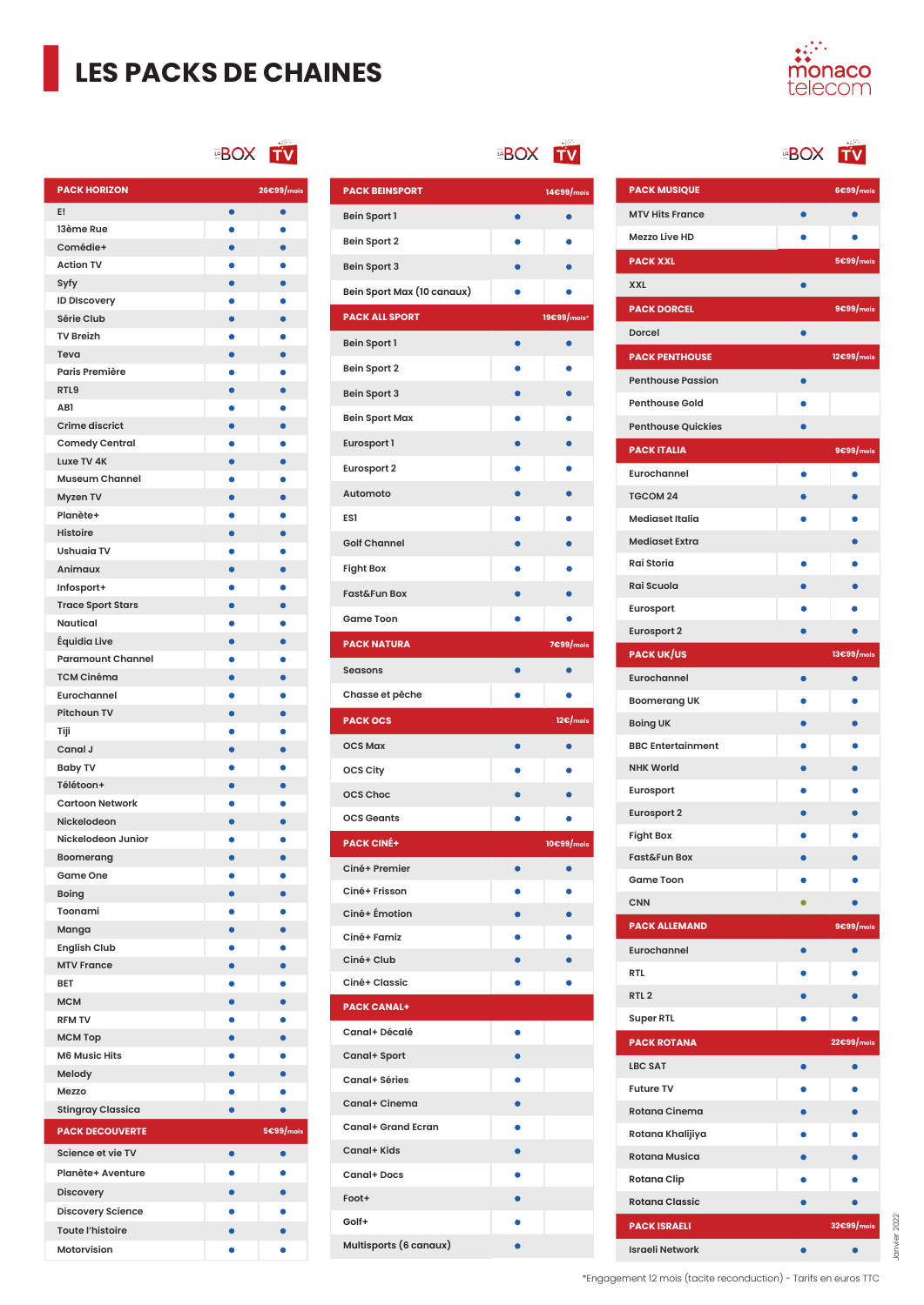## **LES PACKS DE CHAINES**



ΤV

#### **BOX TV**

| <b>PACK HORIZON</b>               |           | 26€99/mois |
|-----------------------------------|-----------|------------|
| E!                                | $\bullet$ | $\bullet$  |
| 13ème Rue                         |           |            |
| Comédie+                          | $\bullet$ | $\bullet$  |
| <b>Action TV</b>                  |           |            |
| Syfy                              | $\bullet$ | $\bullet$  |
| <b>ID Discovery</b>               |           |            |
| Série Club                        | $\bullet$ | $\bullet$  |
| <b>TV Breizh</b>                  |           |            |
| Teva                              | $\bullet$ | $\bullet$  |
| Paris Première                    | ٠         | ٠          |
| RTL9                              | $\bullet$ | $\bullet$  |
| AB1                               |           |            |
| <b>Crime discrict</b>             | ò         | $\bullet$  |
| <b>Comedy Central</b>             |           |            |
| Luxe TV 4K                        | ō         | $\bullet$  |
| <b>Museum Channel</b>             |           |            |
| Myzen TV                          | $\bullet$ | $\bullet$  |
| Planète+                          |           |            |
| <b>Histoire</b>                   | $\bullet$ | $\bullet$  |
| <b>Ushuaia TV</b>                 |           | $\bullet$  |
| Animaux                           | $\bullet$ | $\bullet$  |
| Infosport+                        |           |            |
| <b>Trace Sport Stars</b>          | ۰         | $\bullet$  |
| <b>Nautical</b>                   |           |            |
| Équidia Live                      | $\bullet$ | $\bullet$  |
| <b>Paramount Channel</b>          |           |            |
| <b>TCM Cinéma</b>                 |           | $\bullet$  |
| Eurochannel                       |           |            |
| Pitchoun TV                       |           | $\bullet$  |
| Tiji                              |           |            |
| Canal J                           | ò         | $\bullet$  |
| <b>Baby TV</b>                    |           |            |
| Télétoon+                         | $\bullet$ | $\bullet$  |
| <b>Cartoon Network</b>            |           | $\bullet$  |
| Nickelodeon<br>Nickelodeon Junior | $\bullet$ |            |
|                                   | $\bullet$ | $\bullet$  |
| Boomerang<br>Game One             |           |            |
| <b>Boing</b>                      | $\bullet$ | $\bullet$  |
| Toonami                           |           |            |
|                                   |           | $\bullet$  |
| Manga<br><b>English Club</b>      |           |            |
| <b>MTV France</b>                 |           |            |
| <b>BET</b>                        |           |            |
| <b>MCM</b>                        |           |            |
| <b>RFM TV</b>                     |           |            |
| МСМ Тор                           |           |            |
| <b>M6 Music Hits</b>              |           |            |
| Melody                            |           |            |
| Mezzo                             |           |            |
| <b>Stingray Classica</b>          |           |            |
|                                   |           |            |
| <b>PACK DECOUVERTE</b>            |           | 5€99/mois  |
| Science et vie TV                 | $\bullet$ | $\bullet$  |
| Planète+ Aventure                 |           | $\bullet$  |
| <b>Discovery</b>                  |           | $\bullet$  |
| <b>Discovery Science</b>          |           |            |
| <b>Toute l'histoire</b>           |           |            |
| Motorvision                       |           |            |

**EBOX TV** 

 $\bullet$ 

 $\bullet$  $\bullet$ 

 $\bullet$ 

 $\bullet$ 

 $\bullet$  $\bullet$ 

 $\bullet$  $\bullet$ 

> $\bullet$  $\bullet$

 $\bullet$ 

 $\bullet$ 

 $\bullet$  $\bullet$ 

 $\bullet$ 

 $\bullet$ 

 $\bullet$ 

 $\bullet$ 

 $\bullet$ 

 $\bullet$  $\bullet$ 

 $\bullet$ 

 $\bullet$  $\bullet$ 

 $\bullet$ 

 $\bullet$ 

 $\bullet$ 

 $\bullet$ 

 $\bullet$ 

 $\bullet$  $\bullet$ 

 $\bullet$ 

 $\bullet$ 

 $\bullet$  $\bullet$ 

 $\bullet$ 

Ċ

 $\bullet$ 

 $\bullet$ 

×  $\bullet$ 

 $\bullet$  $\bullet$ 

 $\bullet$ 

 $\bullet$ **C** 

 $\bullet$ 

 $\bullet$  $\bullet$ 

 $\bullet$  $\bullet$ 

 $\bullet$ 

 $\bullet$ 

 $\bullet$ ×  $\bullet$ ò  $\bullet$ ×  $\ddot{\bullet}$ ò

 $\bullet$  $\bullet$ 

**PACK BEINSPORT 14€99/mois**

**PACK ALL SPORT 19€99/m** 

**PACK NATURA 7€99/m** 

**PACK OCS 12€/mois**

**PACK CINÉ+ 10€99/mois**

**Bein Sport 1 Bein Sport 2 Bein Sport 3**

**Bein Sport 1 Bein Sport 2 Bein Sport 3 Bein Sport Max Eurosport 1 Eurosport 2 Automoto ES1**

**Golf Channel Fight Box Fast&Fun Box Game Toon**

**Seasons Chasse et pêche**

**OCS Max OCS City OCS Choc OCS Geants**

**Ciné+ Premier Ciné+ Frisson Ciné+ Émotion Ciné+ Famiz Ciné+ Club Ciné+ Classic PACK CANAL+ Canal+ Décalé Canal+ Sport Canal+ Séries Canal+ Cinema Canal+ Grand Ecran Canal+ Kids Canal+ Docs Foot+ Golf+**

**Multisports (6 canaux)**

**Bein Sport Max (10 canaux)**

| <b>EBOX</b> |
|-------------|
|             |
|             |

| <b>PACK MUSIQUE</b>       |           | 6€99/mois  |
|---------------------------|-----------|------------|
| <b>MTV Hits France</b>    | $\bullet$ | $\bullet$  |
| <b>Mezzo Live HD</b>      |           |            |
| <b>PACK XXL</b>           |           | 5€99/mois  |
| <b>XXL</b>                | $\bullet$ |            |
| <b>PACK DORCEL</b>        |           | 9€99/mois  |
| Dorcel                    |           |            |
| <b>PACK PENTHOUSE</b>     |           | 12€99/mois |
| <b>Penthouse Passion</b>  | $\bullet$ |            |
| <b>Penthouse Gold</b>     |           |            |
| <b>Penthouse Quickies</b> |           |            |
| <b>PACK ITALIA</b>        |           | 9€99/mois  |
| Eurochannel               | $\bullet$ | $\bullet$  |
| <b>TGCOM 24</b>           |           |            |
| <b>Mediaset Italia</b>    |           |            |
| <b>Mediaset Extra</b>     |           |            |
| Rai Storia                | 0         |            |
| Rai Scuola                |           |            |
| Eurosport                 |           |            |
| <b>Eurosport 2</b>        |           |            |
| <b>PACK UK/US</b>         |           | 13€99/mois |
| Eurochannel               | $\bullet$ | $\bullet$  |
| <b>Boomerang UK</b>       |           |            |
| <b>Boing UK</b>           |           |            |
| <b>BBC Entertainment</b>  |           |            |
| <b>NHK World</b>          |           |            |
| Eurosport                 |           |            |
| <b>Eurosport 2</b>        |           |            |
| <b>Fight Box</b>          |           |            |
| <b>Fast&amp;Fun Box</b>   |           |            |
| <b>Game Toon</b>          |           |            |
| <b>CNN</b>                | $\bullet$ |            |
| <b>PACK ALLEMAND</b>      |           | 9€99/mois  |
| Eurochannel               |           |            |
| <b>RTL</b>                |           |            |
| RTL <sub>2</sub>          |           |            |
| <b>Super RTL</b>          |           |            |
| <b>PACK ROTANA</b>        |           | 22€99/mois |
| <b>LBC SAT</b>            |           |            |
| <b>Future TV</b>          |           |            |
| <b>Rotana Cinema</b>      |           |            |
| Rotana Khalijiya          |           |            |
| <b>Rotana Musica</b>      |           |            |
| <b>Rotana Clip</b>        |           |            |
| <b>Rotana Classic</b>     |           |            |
| <b>PACK ISRAELI</b>       |           | 32€99/mois |

Janvier 2022 Janvier 2022

\*Engagement 12 mois (tacite reconduction) - Tarifs en euros TTC